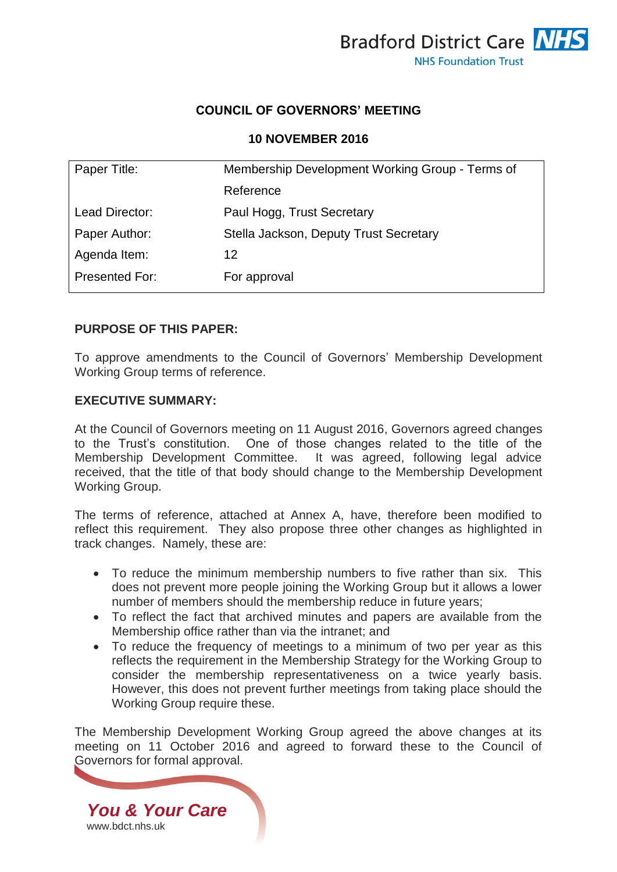

## **COUNCIL OF GOVERNORS' MEETING**

#### **10 NOVEMBER 2016**

| Paper Title:          | Membership Development Working Group - Terms of |
|-----------------------|-------------------------------------------------|
|                       | Reference                                       |
| Lead Director:        | Paul Hogg, Trust Secretary                      |
| Paper Author:         | Stella Jackson, Deputy Trust Secretary          |
| Agenda Item:          | 12                                              |
| <b>Presented For:</b> | For approval                                    |
|                       |                                                 |

## **PURPOSE OF THIS PAPER:**

To approve amendments to the Council of Governors' Membership Development Working Group terms of reference.

### **EXECUTIVE SUMMARY:**

At the Council of Governors meeting on 11 August 2016, Governors agreed changes to the Trust's constitution. One of those changes related to the title of the Membership Development Committee. It was agreed, following legal advice received, that the title of that body should change to the Membership Development Working Group.

The terms of reference, attached at Annex A, have, therefore been modified to reflect this requirement. They also propose three other changes as highlighted in track changes. Namely, these are:

- To reduce the minimum membership numbers to five rather than six. This does not prevent more people joining the Working Group but it allows a lower number of members should the membership reduce in future years;
- To reflect the fact that archived minutes and papers are available from the Membership office rather than via the intranet; and
- To reduce the frequency of meetings to a minimum of two per year as this reflects the requirement in the Membership Strategy for the Working Group to consider the membership representativeness on a twice yearly basis. However, this does not prevent further meetings from taking place should the Working Group require these.

The Membership Development Working Group agreed the above changes at its meeting on 11 October 2016 and agreed to forward these to the Council of Governors for formal approval.